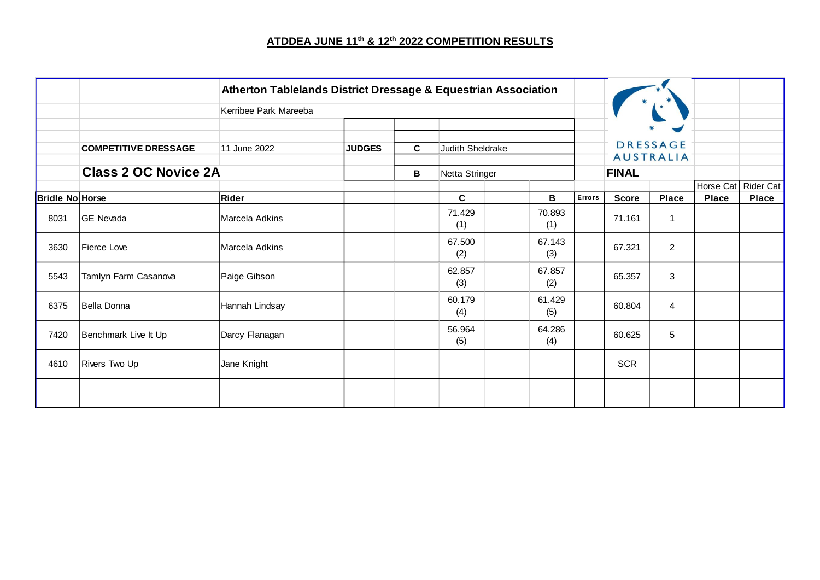## **ATDDEA JUNE 11th & 12th 2022 COMPETITION RESULTS**

|                        |                             | <b>Atherton Tablelands District Dressage &amp; Equestrian Association</b> |               |              |                  |               |        |              |                                     |              |                                       |
|------------------------|-----------------------------|---------------------------------------------------------------------------|---------------|--------------|------------------|---------------|--------|--------------|-------------------------------------|--------------|---------------------------------------|
|                        |                             | Kerribee Park Mareeba                                                     |               |              |                  |               |        |              |                                     |              |                                       |
|                        | <b>COMPETITIVE DRESSAGE</b> | 11 June 2022                                                              | <b>JUDGES</b> | $\mathbf{C}$ | Judith Sheldrake |               |        |              | <b>DRESSAGE</b><br><b>AUSTRALIA</b> |              |                                       |
|                        | <b>Class 2 OC Novice 2A</b> |                                                                           |               | B            | Netta Stringer   |               |        | <b>FINAL</b> |                                     |              |                                       |
| <b>Bridle No Horse</b> |                             | Rider                                                                     |               |              | $\mathbf{C}$     | B             | Errors | <b>Score</b> | <b>Place</b>                        | <b>Place</b> | Horse Cat   Rider Cat<br><b>Place</b> |
| 8031                   | <b>GE</b> Nevada            | Marcela Adkins                                                            |               |              | 71.429<br>(1)    | 70.893<br>(1) |        | 71.161       | $\mathbf 1$                         |              |                                       |
| 3630                   | <b>IFierce Love</b>         | Marcela Adkins                                                            |               |              | 67.500<br>(2)    | 67.143<br>(3) |        | 67.321       | $\overline{2}$                      |              |                                       |
| 5543                   | Tamlyn Farm Casanova        | Paige Gibson                                                              |               |              | 62.857<br>(3)    | 67.857<br>(2) |        | 65.357       | 3                                   |              |                                       |
| 6375                   | Bella Donna                 | Hannah Lindsay                                                            |               |              | 60.179<br>(4)    | 61.429<br>(5) |        | 60.804       | 4                                   |              |                                       |
| 7420                   | Benchmark Live It Up        | Darcy Flanagan                                                            |               |              | 56.964<br>(5)    | 64.286<br>(4) |        | 60.625       | 5                                   |              |                                       |
| 4610                   | Rivers Two Up               | Jane Knight                                                               |               |              |                  |               |        | <b>SCR</b>   |                                     |              |                                       |
|                        |                             |                                                                           |               |              |                  |               |        |              |                                     |              |                                       |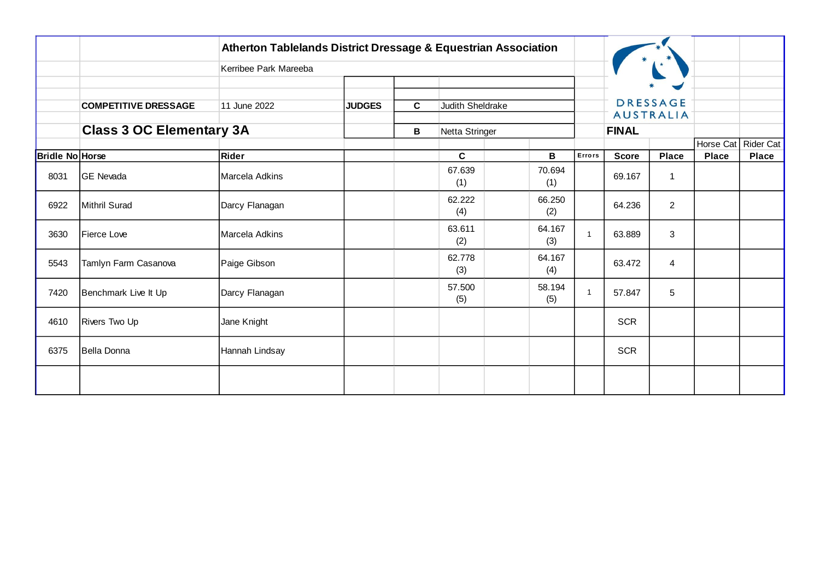|                 |                                 | Atherton Tablelands District Dressage & Equestrian Association |               |    |                  |               |              |              |                  |              |                                       |
|-----------------|---------------------------------|----------------------------------------------------------------|---------------|----|------------------|---------------|--------------|--------------|------------------|--------------|---------------------------------------|
|                 |                                 | Kerribee Park Mareeba                                          |               |    |                  |               |              |              |                  |              |                                       |
|                 |                                 |                                                                |               |    |                  |               |              |              | <b>DRESSAGE</b>  |              |                                       |
|                 | <b>COMPETITIVE DRESSAGE</b>     | 11 June 2022                                                   | <b>JUDGES</b> | C. | Judith Sheldrake |               |              |              | <b>AUSTRALIA</b> |              |                                       |
|                 | <b>Class 3 OC Elementary 3A</b> |                                                                |               | В  | Netta Stringer   |               |              | <b>FINAL</b> |                  |              |                                       |
| Bridle No Horse |                                 | Rider                                                          |               |    | C                | В             | Errors       | <b>Score</b> | <b>Place</b>     | <b>Place</b> | Horse Cat   Rider Cat<br><b>Place</b> |
| 8031            | GE Nevada                       | Marcela Adkins                                                 |               |    | 67.639<br>(1)    | 70.694<br>(1) |              | 69.167       | 1                |              |                                       |
| 6922            | Mithril Surad                   | Darcy Flanagan                                                 |               |    | 62.222<br>(4)    | 66.250<br>(2) |              | 64.236       | $\overline{2}$   |              |                                       |
| 3630            | Fierce Love                     | Marcela Adkins                                                 |               |    | 63.611<br>(2)    | 64.167<br>(3) | $\mathbf{1}$ | 63.889       | 3                |              |                                       |
| 5543            | Tamlyn Farm Casanova            | Paige Gibson                                                   |               |    | 62.778<br>(3)    | 64.167<br>(4) |              | 63.472       | $\overline{4}$   |              |                                       |
| 7420            | Benchmark Live It Up            | Darcy Flanagan                                                 |               |    | 57.500<br>(5)    | 58.194<br>(5) | $\mathbf{1}$ | 57.847       | 5                |              |                                       |
| 4610            | <b>Rivers Two Up</b>            | Jane Knight                                                    |               |    |                  |               |              | <b>SCR</b>   |                  |              |                                       |
| 6375            | Bella Donna                     | Hannah Lindsay                                                 |               |    |                  |               |              | <b>SCR</b>   |                  |              |                                       |
|                 |                                 |                                                                |               |    |                  |               |              |              |                  |              |                                       |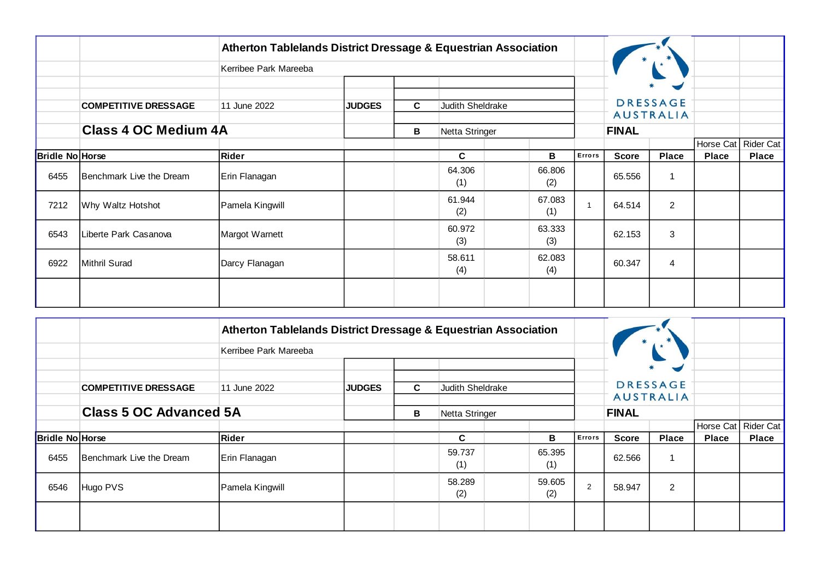|                        |                             | Atherton Tablelands District Dressage & Equestrian Association |               |   |                  |                |                |              |                                     |              |              |
|------------------------|-----------------------------|----------------------------------------------------------------|---------------|---|------------------|----------------|----------------|--------------|-------------------------------------|--------------|--------------|
|                        |                             | Kerribee Park Mareeba                                          |               |   |                  |                |                |              |                                     |              |              |
|                        |                             |                                                                |               |   |                  |                |                |              | $\blacktriangleright$               |              |              |
|                        | <b>COMPETITIVE DRESSAGE</b> | 11 June 2022                                                   | <b>JUDGES</b> | C | Judith Sheldrake |                |                |              | <b>DRESSAGE</b><br><b>AUSTRALIA</b> |              |              |
|                        | <b>Class 4 OC Medium 4A</b> |                                                                |               |   |                  | Netta Stringer |                | <b>FINAL</b> |                                     |              |              |
|                        |                             |                                                                |               | В |                  |                |                |              |                                     | Horse Cat    | Rider Cat    |
| <b>Bridle No Horse</b> |                             | Rider                                                          |               |   | C                | в              | Errors         | <b>Score</b> | <b>Place</b>                        | <b>Place</b> | <b>Place</b> |
| 6455                   | Benchmark Live the Dream    | Erin Flanagan                                                  |               |   | 64.306<br>(1)    | 66.806<br>(2)  |                | 65.556       | 1                                   |              |              |
| 7212                   | Why Waltz Hotshot           | Pamela Kingwill                                                |               |   | 61.944<br>(2)    | 67.083<br>(1)  | $\overline{1}$ | 64.514       | $\overline{2}$                      |              |              |
| 6543                   | Liberte Park Casanova       | Margot Warnett                                                 |               |   | 60.972<br>(3)    | 63.333<br>(3)  |                | 62.153       | 3                                   |              |              |
| 6922                   | Mithril Surad               | Darcy Flanagan                                                 |               |   | 58.611<br>(4)    | 62.083<br>(4)  |                | 60.347       | $\overline{4}$                      |              |              |
|                        |                             |                                                                |               |   |                  |                |                |              |                                     |              |              |

|                        |                             | Atherton Tablelands District Dressage & Equestrian Association |               |    |                  |  |               |              |                  |                           |              |              |
|------------------------|-----------------------------|----------------------------------------------------------------|---------------|----|------------------|--|---------------|--------------|------------------|---------------------------|--------------|--------------|
|                        |                             | Kerribee Park Mareeba                                          |               |    |                  |  |               |              |                  |                           |              |              |
|                        | <b>COMPETITIVE DRESSAGE</b> | 11 June 2022                                                   | <b>JUDGES</b> | C. | Judith Sheldrake |  |               |              |                  | $\sim$<br><b>DRESSAGE</b> |              |              |
|                        |                             | <b>Class 5 OC Advanced 5A</b><br>В<br>Netta Stringer           |               |    |                  |  |               | <b>FINAL</b> | <b>AUSTRALIA</b> |                           |              |              |
|                        |                             |                                                                |               |    |                  |  |               |              |                  | Horse Cat                 | Rider Cat    |              |
| <b>Bridle No Horse</b> |                             | Rider                                                          |               |    | C.               |  | B             | Errors       | <b>Score</b>     | <b>Place</b>              | <b>Place</b> | <b>Place</b> |
| 6455                   | Benchmark Live the Dream    | Erin Flanagan                                                  |               |    | 59.737<br>(1)    |  | 65.395<br>(1) |              | 62.566           |                           |              |              |
| 6546                   | Hugo PVS                    | Pamela Kingwill                                                |               |    | 58.289<br>(2)    |  | 59.605<br>(2) | 2            | 58.947           | 2                         |              |              |
|                        |                             |                                                                |               |    |                  |  |               |              |                  |                           |              |              |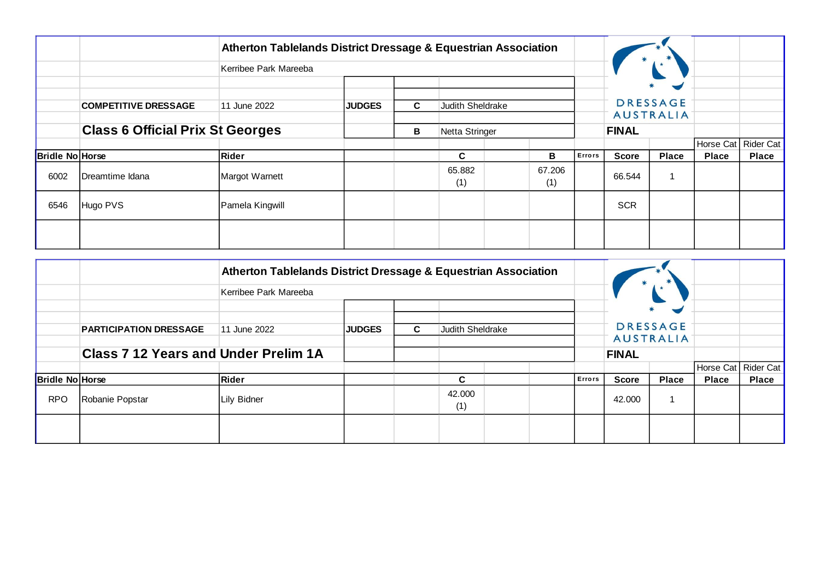|                        |                                         | Atherton Tablelands District Dressage & Equestrian Association |               |    |                  |               |               |              |                                                                   |              |              |
|------------------------|-----------------------------------------|----------------------------------------------------------------|---------------|----|------------------|---------------|---------------|--------------|-------------------------------------------------------------------|--------------|--------------|
|                        |                                         | Kerribee Park Mareeba                                          |               |    |                  |               |               |              |                                                                   |              |              |
|                        | <b>COMPETITIVE DRESSAGE</b>             | 11 June 2022                                                   | <b>JUDGES</b> | C. | Judith Sheldrake |               |               |              | ₩<br>$\blacktriangleright$<br><b>DRESSAGE</b><br><b>AUSTRALIA</b> |              |              |
|                        | <b>Class 6 Official Prix St Georges</b> |                                                                |               | В  | Netta Stringer   |               |               | <b>FINAL</b> |                                                                   |              |              |
|                        |                                         |                                                                |               |    |                  |               |               |              |                                                                   | Horse Cat    | Rider Cat    |
| <b>Bridle No Horse</b> |                                         | Rider                                                          |               |    | C                | в             | <b>Errors</b> | <b>Score</b> | <b>Place</b>                                                      | <b>Place</b> | <b>Place</b> |
| 6002                   | Dreamtime Idana                         | Margot Warnett                                                 |               |    | 65.882<br>(1)    | 67.206<br>(1) |               | 66.544       | 1                                                                 |              |              |
| 6546                   | Hugo PVS                                | Pamela Kingwill                                                |               |    |                  |               |               | <b>SCR</b>   |                                                                   |              |              |
|                        |                                         |                                                                |               |    |                  |               |               |              |                                                                   |              |              |

|                        |                                             | Atherton Tablelands District Dressage & Equestrian Association |               |    |                  |  |        |              |                                                              |              |                       |
|------------------------|---------------------------------------------|----------------------------------------------------------------|---------------|----|------------------|--|--------|--------------|--------------------------------------------------------------|--------------|-----------------------|
|                        |                                             | Kerribee Park Mareeba                                          |               |    |                  |  |        |              |                                                              |              |                       |
|                        | <b>PARTICIPATION DRESSAGE</b>               | 11 June 2022                                                   | <b>JUDGES</b> | C. | Judith Sheldrake |  |        |              | $*$<br>$\blacksquare$<br><b>DRESSAGE</b><br><b>AUSTRALIA</b> |              |                       |
|                        | <b>Class 7 12 Years and Under Prelim 1A</b> |                                                                |               |    |                  |  |        | <b>FINAL</b> |                                                              |              |                       |
|                        |                                             |                                                                |               |    |                  |  |        |              |                                                              |              | Horse Cat   Rider Cat |
| <b>Bridle No Horse</b> |                                             | <b>Rider</b>                                                   |               |    | C                |  | Errors | <b>Score</b> | <b>Place</b>                                                 | <b>Place</b> | <b>Place</b>          |
| <b>RPO</b>             | Robanie Popstar                             | Lily Bidner                                                    |               |    | 42.000<br>(1)    |  |        | 42.000       |                                                              |              |                       |
|                        |                                             |                                                                |               |    |                  |  |        |              |                                                              |              |                       |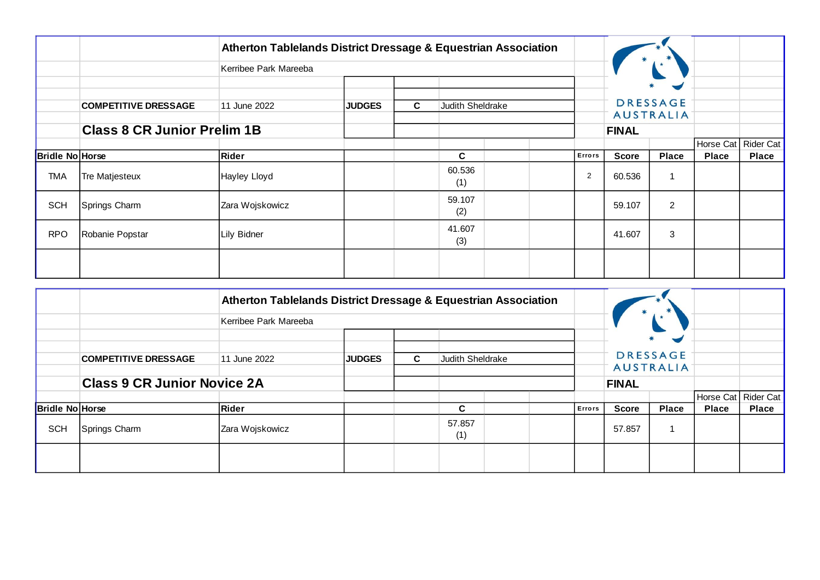|                        |                                    | Atherton Tablelands District Dressage & Equestrian Association |               |    |                  |  |  |                |                  |                                          |                     |              |
|------------------------|------------------------------------|----------------------------------------------------------------|---------------|----|------------------|--|--|----------------|------------------|------------------------------------------|---------------------|--------------|
|                        |                                    | Kerribee Park Mareeba                                          |               |    |                  |  |  |                |                  |                                          |                     |              |
|                        | <b>COMPETITIVE DRESSAGE</b>        | 11 June 2022                                                   | <b>JUDGES</b> | C. | Judith Sheldrake |  |  |                |                  | $\blacktriangleright$<br><b>DRESSAGE</b> |                     |              |
|                        | <b>Class 8 CR Junior Prelim 1B</b> |                                                                |               |    |                  |  |  | <b>FINAL</b>   | <b>AUSTRALIA</b> |                                          |                     |              |
|                        |                                    |                                                                |               |    |                  |  |  |                |                  |                                          | Horse Cat Rider Cat |              |
| <b>Bridle No Horse</b> |                                    | Rider                                                          |               |    | C                |  |  | Errors         | <b>Score</b>     | <b>Place</b>                             | <b>Place</b>        | <b>Place</b> |
| <b>TMA</b>             | Tre Matjesteux                     | Hayley Lloyd                                                   |               |    | 60.536<br>(1)    |  |  | $\overline{2}$ | 60.536           | $\overline{1}$                           |                     |              |
| <b>SCH</b>             | Springs Charm                      | Zara Wojskowicz                                                |               |    | 59.107<br>(2)    |  |  |                | 59.107           | $\overline{2}$                           |                     |              |
| <b>RPO</b>             | Robanie Popstar                    | Lily Bidner                                                    |               |    | 41.607<br>(3)    |  |  |                | 41.607           | 3                                        |                     |              |
|                        |                                    |                                                                |               |    |                  |  |  |                |                  |                                          |                     |              |

|                        |                                    | Atherton Tablelands District Dressage & Equestrian Association |                                         |  |               |  |  |        |              |                                     |              |                       |
|------------------------|------------------------------------|----------------------------------------------------------------|-----------------------------------------|--|---------------|--|--|--------|--------------|-------------------------------------|--------------|-----------------------|
|                        |                                    | Kerribee Park Mareeba                                          |                                         |  |               |  |  |        |              |                                     |              |                       |
|                        |                                    |                                                                |                                         |  |               |  |  |        |              | $\sim$                              |              |                       |
|                        | <b>COMPETITIVE DRESSAGE</b>        | 11 June 2022                                                   | <b>JUDGES</b><br>C.<br>Judith Sheldrake |  |               |  |  |        |              | <b>DRESSAGE</b><br><b>AUSTRALIA</b> |              |                       |
|                        | <b>Class 9 CR Junior Novice 2A</b> |                                                                |                                         |  |               |  |  |        | <b>FINAL</b> |                                     |              |                       |
|                        |                                    |                                                                |                                         |  |               |  |  |        |              |                                     |              | Horse Cat   Rider Cat |
| <b>Bridle No Horse</b> |                                    | Rider                                                          |                                         |  | C             |  |  | Errors | <b>Score</b> | <b>Place</b>                        | <b>Place</b> | <b>Place</b>          |
| <b>SCH</b>             | Springs Charm                      | Zara Wojskowicz                                                |                                         |  | 57.857<br>(1) |  |  |        | 57.857       |                                     |              |                       |
|                        |                                    |                                                                |                                         |  |               |  |  |        |              |                                     |              |                       |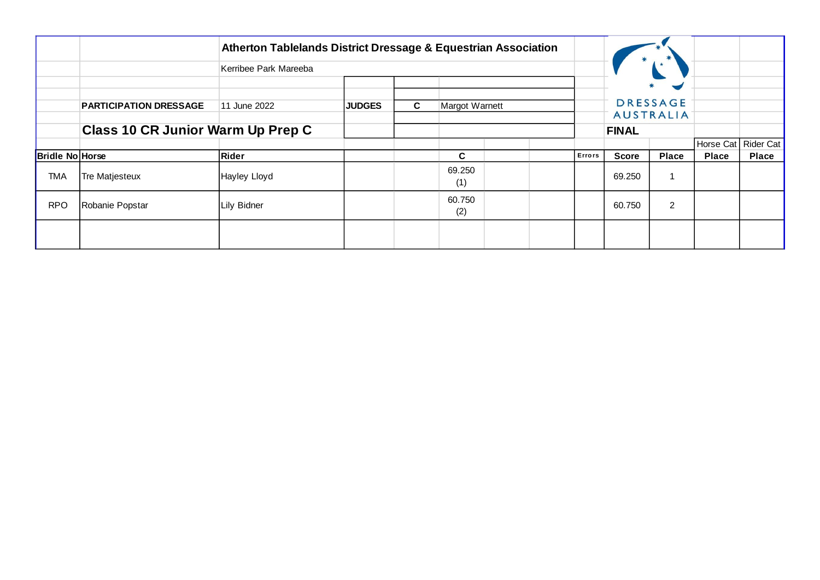|                        |                                   | Atherton Tablelands District Dressage & Equestrian Association |               |    |                |  |        |              |                                                              |                       |              |
|------------------------|-----------------------------------|----------------------------------------------------------------|---------------|----|----------------|--|--------|--------------|--------------------------------------------------------------|-----------------------|--------------|
|                        |                                   | Kerribee Park Mareeba                                          |               |    |                |  |        |              |                                                              |                       |              |
|                        | <b>PARTICIPATION DRESSAGE</b>     | 11 June 2022                                                   | <b>JUDGES</b> | C. | Margot Warnett |  |        |              | $\blacktriangleright$<br><b>DRESSAGE</b><br><b>AUSTRALIA</b> |                       |              |
|                        | Class 10 CR Junior Warm Up Prep C |                                                                |               |    |                |  |        |              |                                                              |                       |              |
|                        |                                   |                                                                |               |    |                |  |        |              |                                                              | Horse Cat   Rider Cat |              |
| <b>Bridle No Horse</b> |                                   | Rider                                                          |               |    | C              |  | Errors | <b>Score</b> | <b>Place</b>                                                 | <b>Place</b>          | <b>Place</b> |
| <b>TMA</b>             | Tre Matjesteux                    | Hayley Lloyd                                                   |               |    | 69.250<br>(1)  |  |        | 69.250       | ŕ                                                            |                       |              |
| <b>RPO</b>             | Robanie Popstar                   | Lily Bidner                                                    |               |    | 60.750<br>(2)  |  |        | 60.750       | $\overline{2}$                                               |                       |              |
|                        |                                   |                                                                |               |    |                |  |        |              |                                                              |                       |              |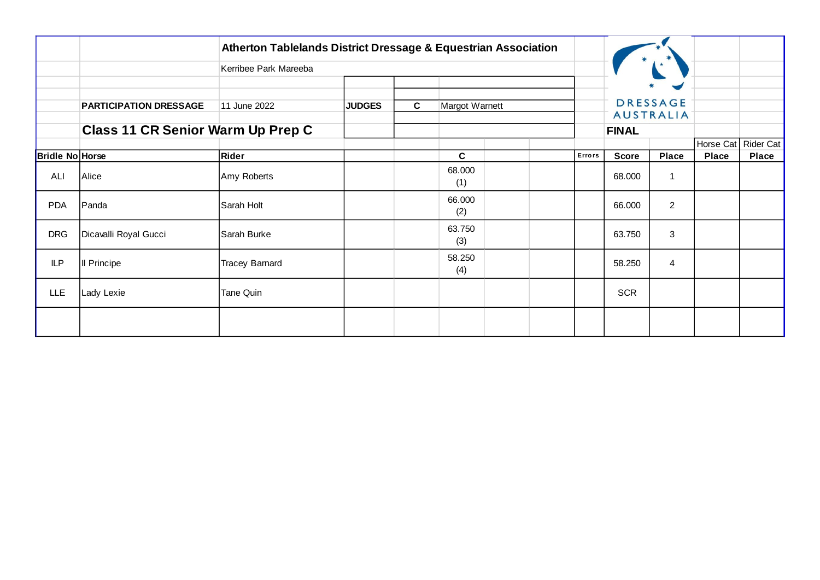|                        |                                   | Atherton Tablelands District Dressage & Equestrian Association |               |              |                |        |              |                                                              |                           |                           |
|------------------------|-----------------------------------|----------------------------------------------------------------|---------------|--------------|----------------|--------|--------------|--------------------------------------------------------------|---------------------------|---------------------------|
|                        |                                   | Kerribee Park Mareeba                                          |               |              |                |        |              |                                                              |                           |                           |
|                        | <b>PARTICIPATION DRESSAGE</b>     | 11 June 2022                                                   | <b>JUDGES</b> | $\mathbf{C}$ | Margot Warnett |        |              | $\blacktriangleright$<br><b>DRESSAGE</b><br><b>AUSTRALIA</b> |                           |                           |
|                        | Class 11 CR Senior Warm Up Prep C |                                                                |               |              |                |        | <b>FINAL</b> |                                                              |                           |                           |
| <b>Bridle No Horse</b> |                                   | Rider                                                          |               |              | C              | Errors | <b>Score</b> | Place                                                        | Horse Cat<br><b>Place</b> | Rider Cat<br><b>Place</b> |
| ALI                    | Alice                             | Amy Roberts                                                    |               |              | 68.000<br>(1)  |        | 68.000       | 1                                                            |                           |                           |
| <b>PDA</b>             | Panda                             | Sarah Holt                                                     |               |              | 66.000<br>(2)  |        | 66.000       | $\overline{2}$                                               |                           |                           |
| <b>DRG</b>             | Dicavalli Royal Gucci             | Sarah Burke                                                    |               |              | 63.750<br>(3)  |        | 63.750       | $\mathbf{3}$                                                 |                           |                           |
| <b>ILP</b>             | Il Principe                       | <b>Tracey Barnard</b>                                          |               |              | 58.250<br>(4)  |        | 58.250       | 4                                                            |                           |                           |
| LLE                    | Lady Lexie                        | Tane Quin                                                      |               |              |                |        | <b>SCR</b>   |                                                              |                           |                           |
|                        |                                   |                                                                |               |              |                |        |              |                                                              |                           |                           |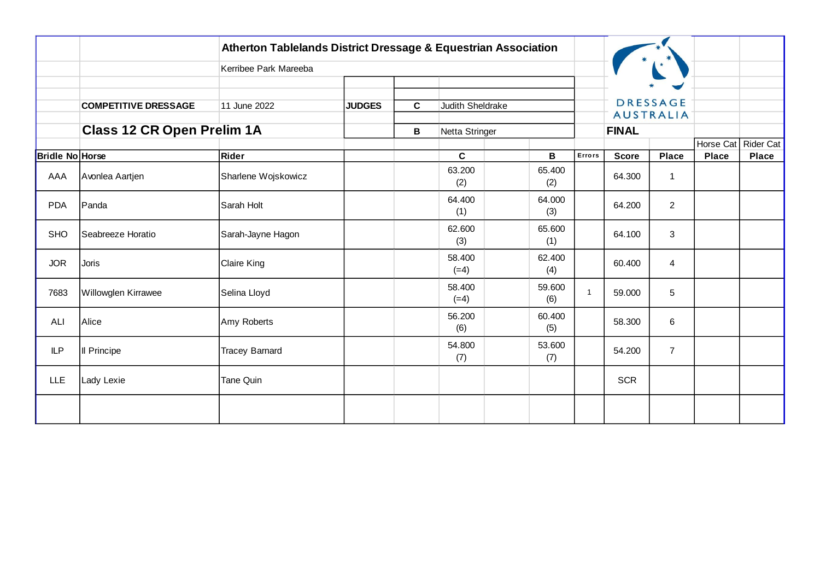|                        |                                   | Atherton Tablelands District Dressage & Equestrian Association |               |              |                  |                                 |              |                                     |              |                     |
|------------------------|-----------------------------------|----------------------------------------------------------------|---------------|--------------|------------------|---------------------------------|--------------|-------------------------------------|--------------|---------------------|
|                        |                                   | Kerribee Park Mareeba                                          |               |              |                  |                                 |              |                                     |              |                     |
|                        |                                   |                                                                |               |              |                  |                                 |              |                                     |              |                     |
|                        | <b>COMPETITIVE DRESSAGE</b>       | 11 June 2022                                                   | <b>JUDGES</b> | $\mathbf{C}$ | Judith Sheldrake |                                 |              | <b>DRESSAGE</b><br><b>AUSTRALIA</b> |              |                     |
|                        | <b>Class 12 CR Open Prelim 1A</b> |                                                                |               | В            | Netta Stringer   |                                 | <b>FINAL</b> |                                     |              |                     |
|                        |                                   |                                                                |               |              |                  |                                 |              |                                     |              | Horse Cat Rider Cat |
| <b>Bridle No Horse</b> |                                   | Rider                                                          |               |              | $\mathbf{C}$     | B<br>Errors                     | <b>Score</b> | <b>Place</b>                        | <b>Place</b> | <b>Place</b>        |
| AAA                    | Avonlea Aartjen                   | Sharlene Wojskowicz                                            |               |              | 63.200<br>(2)    | 65.400<br>(2)                   | 64.300       | 1                                   |              |                     |
| <b>PDA</b>             | Panda                             | Sarah Holt                                                     |               |              | 64.400<br>(1)    | 64.000<br>(3)                   | 64.200       | $\overline{2}$                      |              |                     |
| <b>SHO</b>             | Seabreeze Horatio                 | Sarah-Jayne Hagon                                              |               |              | 62.600<br>(3)    | 65.600<br>(1)                   | 64.100       | 3                                   |              |                     |
| <b>JOR</b>             | Joris                             | Claire King                                                    |               |              | 58.400<br>$(=4)$ | 62.400<br>(4)                   | 60.400       | 4                                   |              |                     |
| 7683                   | Willowglen Kirrawee               | Selina Lloyd                                                   |               |              | 58.400<br>$(=4)$ | 59.600<br>$\overline{1}$<br>(6) | 59.000       | $\overline{5}$                      |              |                     |
| ALI                    | Alice                             | Amy Roberts                                                    |               |              | 56.200<br>(6)    | 60.400<br>(5)                   | 58.300       | 6                                   |              |                     |
| <b>ILP</b>             | Il Principe                       | <b>Tracey Barnard</b>                                          |               |              | 54.800<br>(7)    | 53.600<br>(7)                   | 54.200       | $\overline{7}$                      |              |                     |
| <b>LLE</b>             | Lady Lexie                        | <b>Tane Quin</b>                                               |               |              |                  |                                 | <b>SCR</b>   |                                     |              |                     |
|                        |                                   |                                                                |               |              |                  |                                 |              |                                     |              |                     |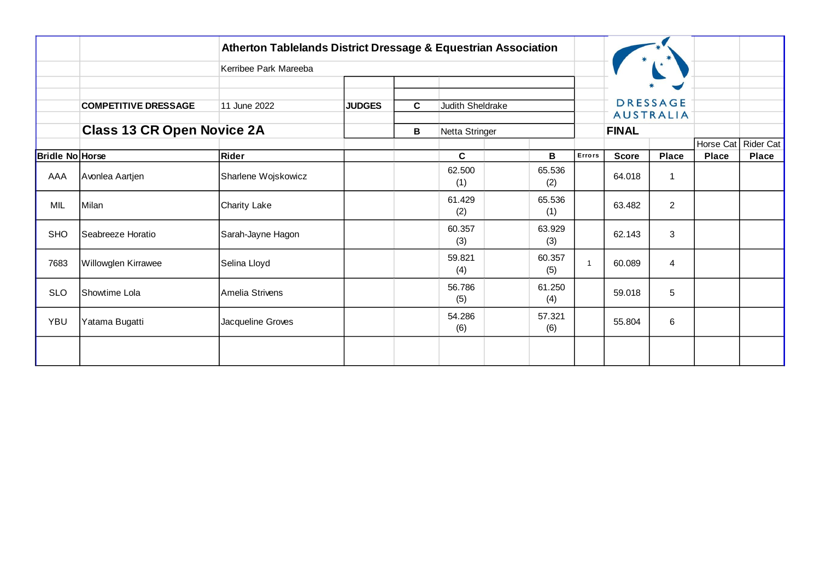|                        |                                   | <b>Atherton Tablelands District Dressage &amp; Equestrian Association</b> |               |   |                  |               |   |                |              |                                     |                           |                           |
|------------------------|-----------------------------------|---------------------------------------------------------------------------|---------------|---|------------------|---------------|---|----------------|--------------|-------------------------------------|---------------------------|---------------------------|
|                        |                                   | Kerribee Park Mareeba                                                     |               |   |                  |               |   |                |              |                                     |                           |                           |
|                        | <b>COMPETITIVE DRESSAGE</b>       | 11 June 2022                                                              | <b>JUDGES</b> | C | Judith Sheldrake |               |   |                |              | <b>DRESSAGE</b><br><b>AUSTRALIA</b> |                           |                           |
|                        | <b>Class 13 CR Open Novice 2A</b> |                                                                           |               | В | Netta Stringer   |               |   |                | <b>FINAL</b> |                                     |                           |                           |
| <b>Bridle No Horse</b> |                                   | Rider                                                                     |               |   | C                |               | В | Errors         | <b>Score</b> | <b>Place</b>                        | Horse Cat<br><b>Place</b> | Rider Cat<br><b>Place</b> |
| AAA                    | Avonlea Aartjen                   | Sharlene Wojskowicz                                                       |               |   | 62.500<br>(1)    | 65.536<br>(2) |   |                | 64.018       | 1                                   |                           |                           |
| MIL                    | Milan                             | Charity Lake                                                              |               |   | 61.429<br>(2)    | 65.536<br>(1) |   |                | 63.482       | $\overline{2}$                      |                           |                           |
| <b>SHO</b>             | Seabreeze Horatio                 | Sarah-Jayne Hagon                                                         |               |   | 60.357<br>(3)    | 63.929<br>(3) |   |                | 62.143       | 3                                   |                           |                           |
| 7683                   | Willowglen Kirrawee               | Selina Lloyd                                                              |               |   | 59.821<br>(4)    | 60.357<br>(5) |   | $\overline{1}$ | 60.089       | 4                                   |                           |                           |
| <b>SLO</b>             | Showtime Lola                     | Amelia Strivens                                                           |               |   | 56.786<br>(5)    | 61.250<br>(4) |   |                | 59.018       | 5                                   |                           |                           |
| <b>YBU</b>             | Yatama Bugatti                    | Jacqueline Groves                                                         |               |   | 54.286<br>(6)    | 57.321<br>(6) |   |                | 55.804       | 6                                   |                           |                           |
|                        |                                   |                                                                           |               |   |                  |               |   |                |              |                                     |                           |                           |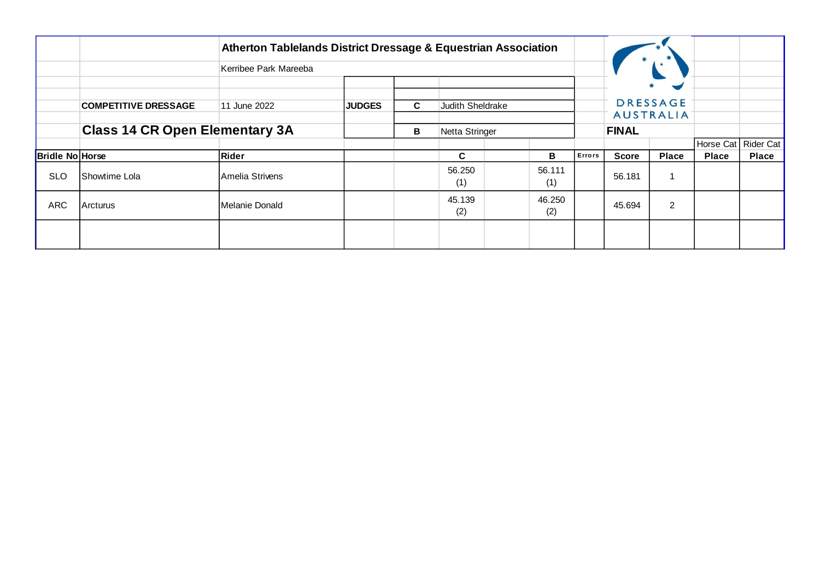|                 |                                       | Atherton Tablelands District Dressage & Equestrian Association |               |                |                                |               |               |              |                                                              |              |                       |
|-----------------|---------------------------------------|----------------------------------------------------------------|---------------|----------------|--------------------------------|---------------|---------------|--------------|--------------------------------------------------------------|--------------|-----------------------|
|                 |                                       | Kerribee Park Mareeba                                          |               |                |                                |               |               |              |                                                              |              |                       |
|                 | <b>COMPETITIVE DRESSAGE</b>           | 11 June 2022                                                   | <b>JUDGES</b> | C.             | <b>Judith Sheldrake</b>        |               |               |              | $\blacktriangleright$<br><b>DRESSAGE</b><br><b>AUSTRALIA</b> |              |                       |
|                 | <b>Class 14 CR Open Elementary 3A</b> |                                                                | В             | Netta Stringer |                                |               | <b>FINAL</b>  |              |                                                              |              |                       |
|                 |                                       |                                                                |               |                |                                |               |               |              |                                                              |              | Horse Cat   Rider Cat |
| Bridle No Horse |                                       | Rider                                                          |               |                | C.                             | в             | <b>Errors</b> | <b>Score</b> | <b>Place</b>                                                 | <b>Place</b> | <b>Place</b>          |
| <b>SLO</b>      | <b>IShowtime Lola</b>                 | IAmelia Strivens                                               |               |                | 56.250<br>(1)                  | 56.111<br>(1) |               | 56.181       | 1                                                            |              |                       |
| <b>ARC</b>      | Arcturus                              | Melanie Donald                                                 |               |                | 45.139<br>46.250<br>(2)<br>(2) |               |               | 45.694       | $\overline{2}$                                               |              |                       |
|                 |                                       |                                                                |               |                |                                |               |               |              |                                                              |              |                       |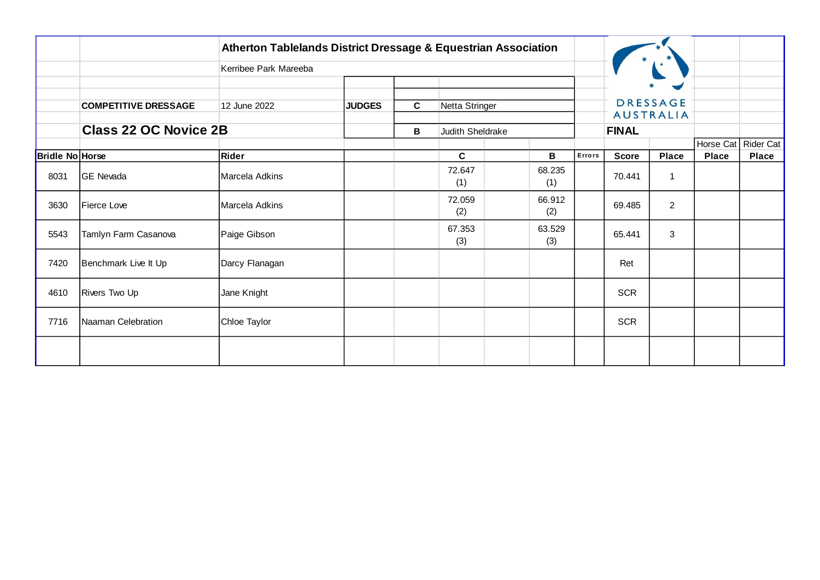|                        |                              | <b>Atherton Tablelands District Dressage &amp; Equestrian Association</b> |               |             |                  |               |        |              |                                     |                           |                           |
|------------------------|------------------------------|---------------------------------------------------------------------------|---------------|-------------|------------------|---------------|--------|--------------|-------------------------------------|---------------------------|---------------------------|
|                        |                              | Kerribee Park Mareeba                                                     |               |             |                  |               |        |              |                                     |                           |                           |
|                        | <b>COMPETITIVE DRESSAGE</b>  | 12 June 2022                                                              | <b>JUDGES</b> | $\mathbf c$ | Netta Stringer   |               |        |              | <b>DRESSAGE</b><br><b>AUSTRALIA</b> |                           |                           |
|                        | <b>Class 22 OC Novice 2B</b> |                                                                           |               | В           | Judith Sheldrake |               |        | <b>FINAL</b> |                                     |                           |                           |
| <b>Bridle No Horse</b> |                              | Rider                                                                     |               |             | C                | В             | Errors | <b>Score</b> | <b>Place</b>                        | Horse Cat<br><b>Place</b> | Rider Cat<br><b>Place</b> |
| 8031                   | <b>GE Nevada</b>             | Marcela Adkins                                                            |               |             | 72.647<br>(1)    | 68.235<br>(1) |        | 70.441       | $\mathbf{1}$                        |                           |                           |
| 3630                   | Fierce Love                  | Marcela Adkins                                                            |               |             | 72.059<br>(2)    | 66.912<br>(2) |        | 69.485       | $\overline{2}$                      |                           |                           |
| 5543                   | Tamlyn Farm Casanova         | Paige Gibson                                                              |               |             | 67.353<br>(3)    | 63.529<br>(3) |        | 65.441       | 3                                   |                           |                           |
| 7420                   | Benchmark Live It Up         | Darcy Flanagan                                                            |               |             |                  |               |        | Ret          |                                     |                           |                           |
| 4610                   | Rivers Two Up                | Jane Knight                                                               |               |             |                  |               |        | <b>SCR</b>   |                                     |                           |                           |
| 7716                   | Naaman Celebration           | Chloe Taylor                                                              |               |             |                  |               |        | SCR          |                                     |                           |                           |
|                        |                              |                                                                           |               |             |                  |               |        |              |                                     |                           |                           |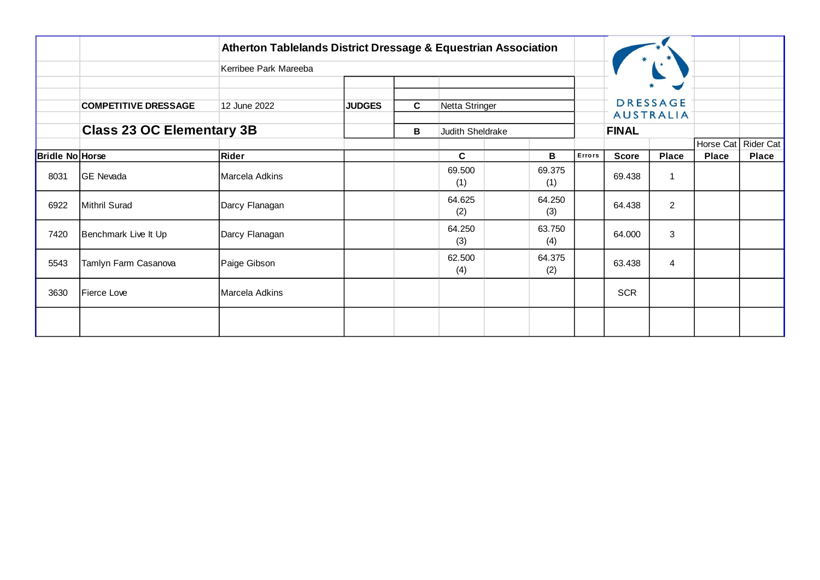|                        |                                  | <b>Atherton Tablelands District Dressage &amp; Equestrian Association</b> |               |              |                  |               |        |              |                                                              |                           |                    |
|------------------------|----------------------------------|---------------------------------------------------------------------------|---------------|--------------|------------------|---------------|--------|--------------|--------------------------------------------------------------|---------------------------|--------------------|
|                        |                                  | Kerribee Park Mareeba                                                     |               |              |                  |               |        |              |                                                              |                           |                    |
|                        | <b>COMPETITIVE DRESSAGE</b>      | 12 June 2022                                                              | <b>JUDGES</b> | $\mathbf{C}$ | Netta Stringer   |               |        |              | $\blacktriangleright$<br><b>DRESSAGE</b><br><b>AUSTRALIA</b> |                           |                    |
|                        | <b>Class 23 OC Elementary 3B</b> |                                                                           |               | В            | Judith Sheldrake |               |        | <b>FINAL</b> |                                                              |                           |                    |
| <b>Bridle No Horse</b> |                                  | Rider                                                                     |               |              | C                | В             | Errors | <b>Score</b> | Place                                                        | Horse Cat<br><b>Place</b> | Rider Cat<br>Place |
| 8031                   | GE Nevada                        | Marcela Adkins                                                            |               |              | 69.500<br>(1)    | 69.375<br>(1) |        | 69.438       | 1                                                            |                           |                    |
| 6922                   | Mithril Surad                    | Darcy Flanagan                                                            |               |              | 64.625<br>(2)    | 64.250<br>(3) |        | 64.438       | $\overline{2}$                                               |                           |                    |
| 7420                   | Benchmark Live It Up             | Darcy Flanagan                                                            |               |              | 64.250<br>(3)    | 63.750<br>(4) |        | 64.000       | 3                                                            |                           |                    |
| 5543                   | Tamlyn Farm Casanova             | Paige Gibson                                                              |               |              | 62.500<br>(4)    | 64.375<br>(2) |        | 63.438       | 4                                                            |                           |                    |
| 3630                   | Fierce Love                      | Marcela Adkins                                                            |               |              |                  |               |        | <b>SCR</b>   |                                                              |                           |                    |
|                        |                                  |                                                                           |               |              |                  |               |        |              |                                                              |                           |                    |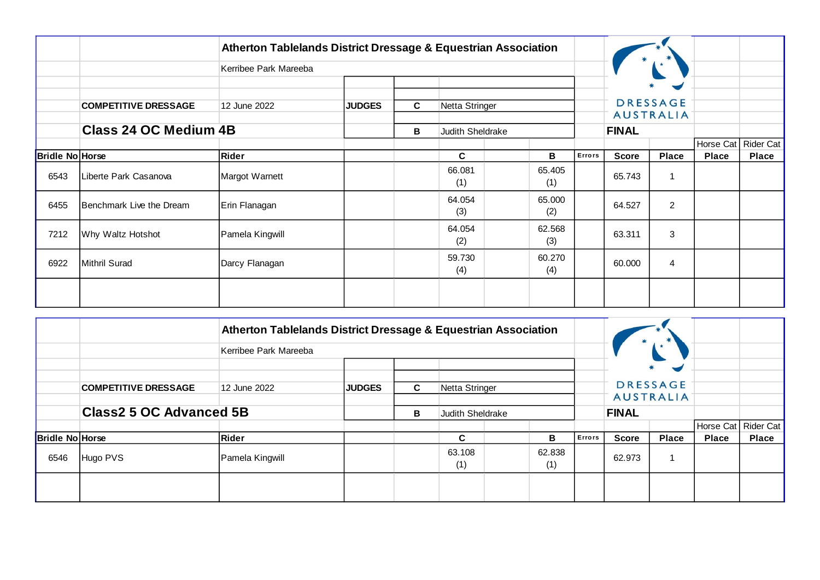|                        |                             | Atherton Tablelands District Dressage & Equestrian Association |               |                       |                |               |        |              |                       |              |              |
|------------------------|-----------------------------|----------------------------------------------------------------|---------------|-----------------------|----------------|---------------|--------|--------------|-----------------------|--------------|--------------|
|                        |                             | Kerribee Park Mareeba                                          |               |                       |                |               |        |              |                       |              |              |
|                        |                             |                                                                |               |                       |                |               |        |              | $\blacktriangleright$ |              |              |
|                        | <b>COMPETITIVE DRESSAGE</b> | 12 June 2022                                                   | <b>JUDGES</b> | C                     | Netta Stringer |               |        |              | <b>DRESSAGE</b>       |              |              |
|                        | Class 24 OC Medium 4B       |                                                                |               | В<br>Judith Sheldrake |                |               |        | <b>FINAL</b> | <b>AUSTRALIA</b>      |              |              |
|                        |                             |                                                                |               |                       | в              |               |        |              |                       | Horse Cat    | Rider Cat    |
| <b>Bridle No Horse</b> |                             | Rider                                                          |               |                       | C              |               | Errors | <b>Score</b> | <b>Place</b>          | <b>Place</b> | <b>Place</b> |
| 6543                   | Liberte Park Casanova       | Margot Warnett                                                 |               |                       | 66.081<br>(1)  | 65.405<br>(1) |        | 65.743       | 1                     |              |              |
| 6455                   | Benchmark Live the Dream    | Erin Flanagan                                                  |               |                       | 64.054<br>(3)  | 65.000<br>(2) |        | 64.527       | $\overline{2}$        |              |              |
| 7212                   | Why Waltz Hotshot           | Pamela Kingwill                                                |               |                       | 64.054<br>(2)  | 62.568<br>(3) |        | 63.311       | 3                     |              |              |
| 6922                   | Mithril Surad               | Darcy Flanagan                                                 |               |                       | 59.730<br>(4)  | 60.270<br>(4) |        | 60.000       | $\overline{4}$        |              |              |
|                        |                             |                                                                |               |                       |                |               |        |              |                       |              |              |

|                        |                                | Atherton Tablelands District Dressage & Equestrian Association |               |                  |                                |  |   |              |              |                                     |              |                       |
|------------------------|--------------------------------|----------------------------------------------------------------|---------------|------------------|--------------------------------|--|---|--------------|--------------|-------------------------------------|--------------|-----------------------|
|                        |                                | Kerribee Park Mareeba                                          |               |                  |                                |  |   |              |              |                                     |              |                       |
|                        | <b>COMPETITIVE DRESSAGE</b>    | 12 June 2022                                                   | <b>JUDGES</b> | C.               | Netta Stringer                 |  |   |              |              | <b>DRESSAGE</b><br><b>AUSTRALIA</b> |              |                       |
|                        | <b>Class2 5 OC Advanced 5B</b> |                                                                | В             | Judith Sheldrake |                                |  |   | <b>FINAL</b> |              |                                     |              |                       |
|                        |                                |                                                                |               |                  |                                |  |   |              |              |                                     |              | Horse Cat   Rider Cat |
| <b>Bridle No Horse</b> |                                | Rider                                                          |               |                  | C                              |  | в | Errors       | <b>Score</b> | <b>Place</b>                        | <b>Place</b> | <b>Place</b>          |
| 6546                   | Hugo PVS                       | Pamela Kingwill                                                |               |                  | 63.108<br>62.838<br>(1)<br>(1) |  |   | 62.973       |              |                                     |              |                       |
|                        |                                |                                                                |               |                  |                                |  |   |              |              |                                     |              |                       |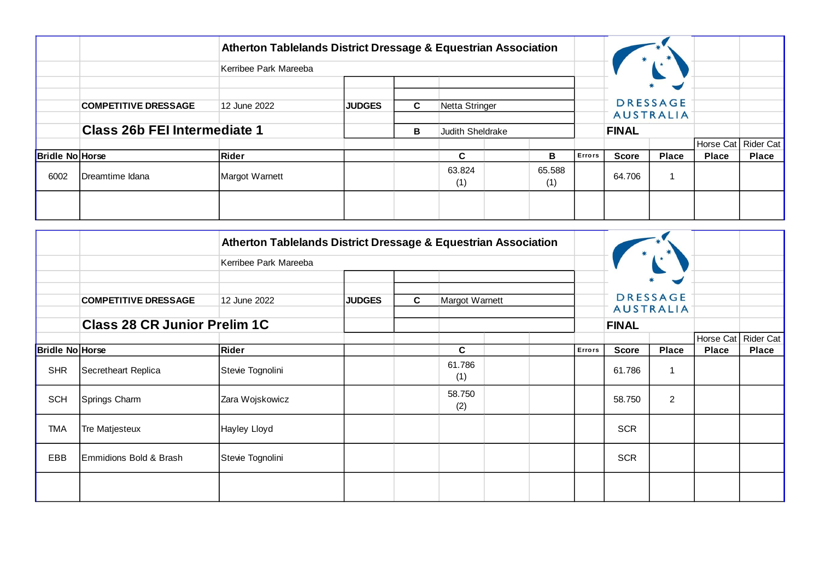|                        |                                     | Atherton Tablelands District Dressage & Equestrian Association |               |                      |                                |   |               |              |                                                       |                       |              |
|------------------------|-------------------------------------|----------------------------------------------------------------|---------------|----------------------|--------------------------------|---|---------------|--------------|-------------------------------------------------------|-----------------------|--------------|
|                        |                                     | Kerribee Park Mareeba                                          |               |                      |                                |   |               |              |                                                       |                       |              |
|                        | <b>COMPETITIVE DRESSAGE</b>         | 12 June 2022                                                   | <b>JUDGES</b> | C.<br>Netta Stringer |                                |   |               |              | $\blacksquare$<br><b>DRESSAGE</b><br><b>AUSTRALIA</b> |                       |              |
|                        | <b>Class 26b FEI Intermediate 1</b> |                                                                |               | в                    | Judith Sheldrake               |   |               | <b>FINAL</b> |                                                       |                       |              |
|                        |                                     |                                                                |               |                      |                                |   |               |              |                                                       | Horse Cat   Rider Cat |              |
| <b>Bridle No Horse</b> |                                     | Rider                                                          |               |                      | C                              | в | <b>Errors</b> | <b>Score</b> | <b>Place</b>                                          | <b>Place</b>          | <b>Place</b> |
| 6002                   | Dreamtime Idana                     | Margot Warnett                                                 |               |                      | 63.824<br>65.588<br>(1)<br>(1) |   |               | 64.706       |                                                       |                       |              |
|                        |                                     |                                                                |               |                      |                                |   |               |              |                                                       |                       |              |

|                        |                                     | Atherton Tablelands District Dressage & Equestrian Association |               |   |                |        |              |                                          |              |                  |
|------------------------|-------------------------------------|----------------------------------------------------------------|---------------|---|----------------|--------|--------------|------------------------------------------|--------------|------------------|
|                        |                                     | Kerribee Park Mareeba                                          |               |   |                |        |              |                                          |              |                  |
|                        | <b>COMPETITIVE DRESSAGE</b>         | 12 June 2022                                                   | <b>JUDGES</b> | C | Margot Warnett |        |              | $\blacktriangleright$<br><b>DRESSAGE</b> |              |                  |
|                        | <b>Class 28 CR Junior Prelim 1C</b> |                                                                |               |   |                |        | <b>FINAL</b> | <b>AUSTRALIA</b>                         |              |                  |
|                        |                                     |                                                                |               |   |                |        |              |                                          | Horse Cat    | <b>Rider Cat</b> |
| <b>Bridle No Horse</b> |                                     | Rider                                                          |               |   | C              | Errors | <b>Score</b> | <b>Place</b>                             | <b>Place</b> | Place            |
| <b>SHR</b>             | Secretheart Replica                 | Stevie Tognolini                                               |               |   | 61.786<br>(1)  |        | 61.786       | 1                                        |              |                  |
| <b>SCH</b>             | Springs Charm                       | Zara Wojskowicz                                                |               |   | 58.750<br>(2)  |        | 58.750       | $\overline{2}$                           |              |                  |
| <b>TMA</b>             | Tre Matjesteux                      | Hayley Lloyd                                                   |               |   |                |        | <b>SCR</b>   |                                          |              |                  |
| EBB                    | Emmidions Bold & Brash              | Stevie Tognolini                                               |               |   |                |        | <b>SCR</b>   |                                          |              |                  |
|                        |                                     |                                                                |               |   |                |        |              |                                          |              |                  |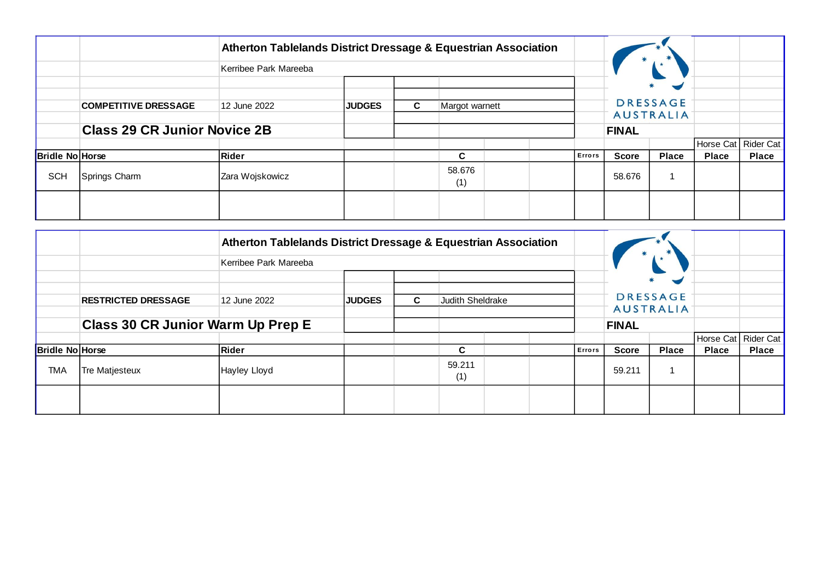|                        |                                     | Atherton Tablelands District Dressage & Equestrian Association |               |    |                |  |               |              |                                                       |                       |              |
|------------------------|-------------------------------------|----------------------------------------------------------------|---------------|----|----------------|--|---------------|--------------|-------------------------------------------------------|-----------------------|--------------|
|                        |                                     | Kerribee Park Mareeba                                          |               |    |                |  |               |              |                                                       |                       |              |
|                        | <b>COMPETITIVE DRESSAGE</b>         | 12 June 2022                                                   | <b>JUDGES</b> | C. | Margot warnett |  |               |              | $\blacksquare$<br><b>DRESSAGE</b><br><b>AUSTRALIA</b> |                       |              |
|                        | <b>Class 29 CR Junior Novice 2B</b> |                                                                |               |    |                |  |               | <b>FINAL</b> |                                                       |                       |              |
|                        |                                     |                                                                |               |    |                |  |               |              |                                                       | Horse Cat   Rider Cat |              |
| <b>Bridle No Horse</b> |                                     | Rider                                                          |               |    | C              |  | <b>Errors</b> | <b>Score</b> | <b>Place</b>                                          | <b>Place</b>          | <b>Place</b> |
| <b>SCH</b>             | Springs Charm                       | Zara Wojskowicz                                                |               |    | 58.676<br>(1)  |  |               | 58.676       |                                                       |                       |              |
|                        |                                     |                                                                |               |    |                |  |               |              |                                                       |                       |              |

|                        |                                          | Atherton Tablelands District Dressage & Equestrian Association |               |    |                  |  |        |              |                                     |              |                       |
|------------------------|------------------------------------------|----------------------------------------------------------------|---------------|----|------------------|--|--------|--------------|-------------------------------------|--------------|-----------------------|
|                        |                                          | Kerribee Park Mareeba                                          |               |    |                  |  |        |              |                                     |              |                       |
|                        | <b>RESTRICTED DRESSAGE</b>               | 12 June 2022                                                   | <b>JUDGES</b> | C. | Judith Sheldrake |  |        |              | <b>DRESSAGE</b><br><b>AUSTRALIA</b> |              |                       |
|                        | <b>Class 30 CR Junior Warm Up Prep E</b> |                                                                |               |    |                  |  |        | <b>FINAL</b> |                                     |              |                       |
|                        |                                          |                                                                |               |    |                  |  |        |              |                                     |              | Horse Cat   Rider Cat |
| <b>Bridle No Horse</b> |                                          | <b>Rider</b>                                                   |               |    | C                |  | Errors | <b>Score</b> | <b>Place</b>                        | <b>Place</b> | <b>Place</b>          |
| <b>TMA</b>             | Tre Matjesteux                           | Hayley Lloyd                                                   |               |    | 59.211<br>(1)    |  |        | 59.211       |                                     |              |                       |
|                        |                                          |                                                                |               |    |                  |  |        |              |                                     |              |                       |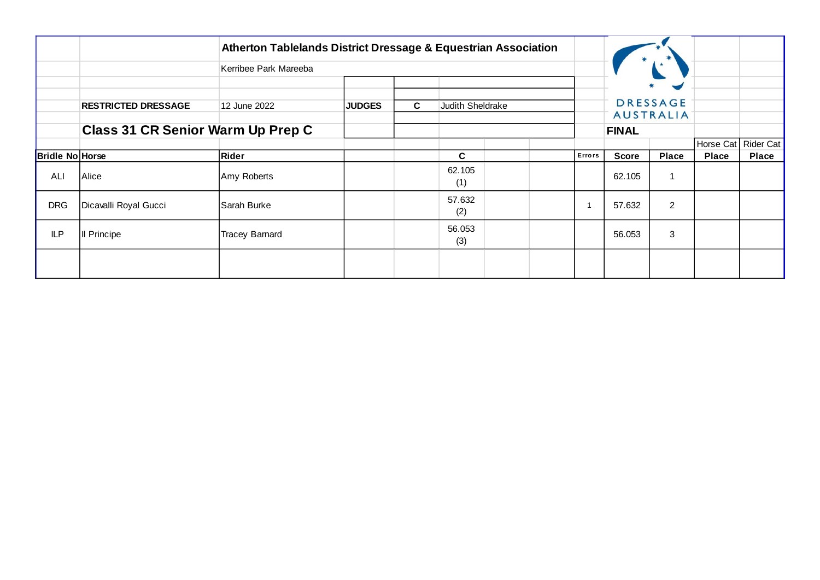|                        |                                   | Atherton Tablelands District Dressage & Equestrian Association |               |   |                  |  |        |              |                                     |              |              |
|------------------------|-----------------------------------|----------------------------------------------------------------|---------------|---|------------------|--|--------|--------------|-------------------------------------|--------------|--------------|
|                        |                                   | Kerribee Park Mareeba                                          |               |   |                  |  |        |              |                                     |              |              |
|                        |                                   |                                                                |               |   |                  |  |        |              | $\blacktriangleright$               |              |              |
|                        | <b>RESTRICTED DRESSAGE</b>        | 12 June 2022                                                   | <b>JUDGES</b> | C | Judith Sheldrake |  |        |              | <b>DRESSAGE</b><br><b>AUSTRALIA</b> |              |              |
|                        | Class 31 CR Senior Warm Up Prep C |                                                                |               |   |                  |  |        | <b>FINAL</b> |                                     |              |              |
|                        |                                   |                                                                |               |   |                  |  |        |              |                                     | Horse Cat    | Rider Cat    |
| <b>Bridle No Horse</b> |                                   | Rider                                                          |               |   | $\mathbf{C}$     |  | Errors | <b>Score</b> | <b>Place</b>                        | <b>Place</b> | <b>Place</b> |
| ALI                    | Alice                             | Amy Roberts                                                    |               |   | 62.105<br>(1)    |  |        | 62.105       | 1                                   |              |              |
| <b>DRG</b>             | Dicavalli Royal Gucci             | <b>Sarah Burke</b>                                             |               |   | 57.632<br>(2)    |  |        | 57.632       | $\overline{2}$                      |              |              |
| <b>ILP</b>             | Il Principe                       | <b>Tracey Barnard</b>                                          |               |   | 56.053<br>(3)    |  |        | 56.053       | $\sqrt{3}$                          |              |              |
|                        |                                   |                                                                |               |   |                  |  |        |              |                                     |              |              |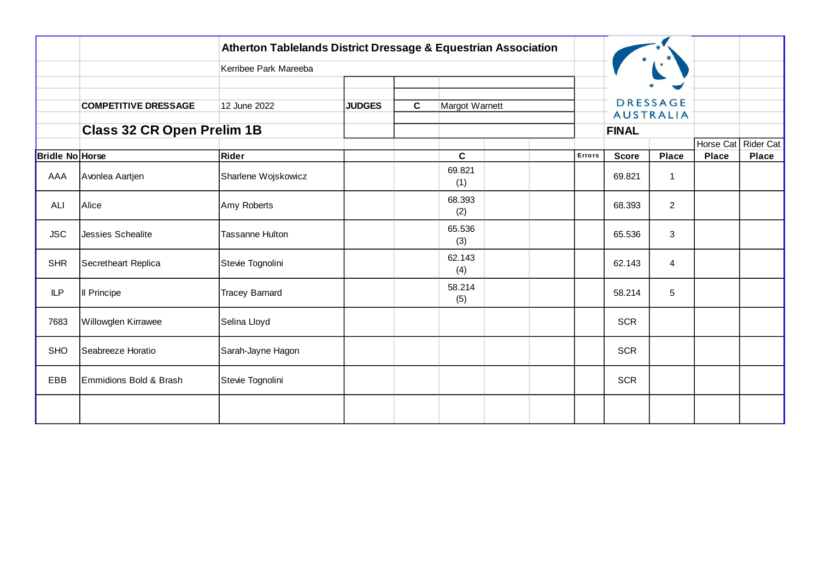|                        |                                   | Atherton Tablelands District Dressage & Equestrian Association |               |              |                |  |        |              |                                     |              |                     |
|------------------------|-----------------------------------|----------------------------------------------------------------|---------------|--------------|----------------|--|--------|--------------|-------------------------------------|--------------|---------------------|
|                        |                                   | Kerribee Park Mareeba                                          |               |              |                |  |        |              |                                     |              |                     |
|                        |                                   |                                                                |               |              |                |  |        |              |                                     |              |                     |
|                        | <b>COMPETITIVE DRESSAGE</b>       | 12 June 2022                                                   | <b>JUDGES</b> | $\mathbf{C}$ | Margot Warnett |  |        |              | <b>DRESSAGE</b><br><b>AUSTRALIA</b> |              |                     |
|                        | <b>Class 32 CR Open Prelim 1B</b> |                                                                |               |              |                |  |        | <b>FINAL</b> |                                     |              |                     |
|                        |                                   |                                                                |               |              |                |  |        |              |                                     |              | Horse Cat Rider Cat |
| <b>Bridle No Horse</b> |                                   | Rider                                                          |               |              | C              |  | Errors | <b>Score</b> | <b>Place</b>                        | <b>Place</b> | <b>Place</b>        |
| AAA                    | Avonlea Aartjen                   | Sharlene Wojskowicz                                            |               |              | 69.821<br>(1)  |  |        | 69.821       | 1                                   |              |                     |
| ALI                    | Alice                             | Amy Roberts                                                    |               |              | 68.393<br>(2)  |  |        | 68.393       | $\overline{2}$                      |              |                     |
| <b>JSC</b>             | Jessies Schealite                 | <b>Tassanne Hulton</b>                                         |               |              | 65.536<br>(3)  |  |        | 65.536       | 3                                   |              |                     |
| <b>SHR</b>             | Secretheart Replica               | Stevie Tognolini                                               |               |              | 62.143<br>(4)  |  |        | 62.143       | $\overline{4}$                      |              |                     |
| <b>ILP</b>             | Il Principe                       | <b>Tracey Barnard</b>                                          |               |              | 58.214<br>(5)  |  |        | 58.214       | $\overline{5}$                      |              |                     |
| 7683                   | Willowglen Kirrawee               | Selina Lloyd                                                   |               |              |                |  |        | <b>SCR</b>   |                                     |              |                     |
| <b>SHO</b>             | Seabreeze Horatio                 | Sarah-Jayne Hagon                                              |               |              |                |  |        | <b>SCR</b>   |                                     |              |                     |
| EBB                    | Emmidions Bold & Brash            | Stevie Tognolini                                               |               |              |                |  |        | <b>SCR</b>   |                                     |              |                     |
|                        |                                   |                                                                |               |              |                |  |        |              |                                     |              |                     |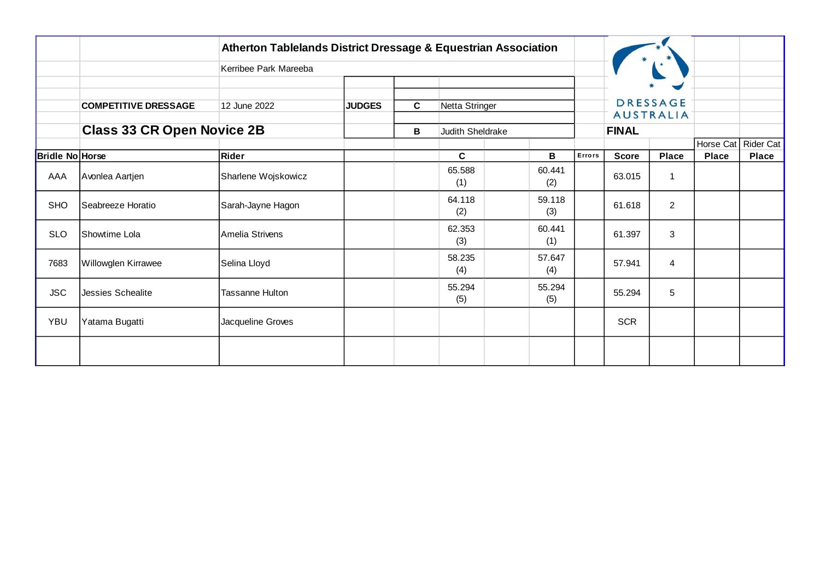|                        |                                   | <b>Atherton Tablelands District Dressage &amp; Equestrian Association</b> |               |   |                         |               |        |              |                                     |                           |                           |
|------------------------|-----------------------------------|---------------------------------------------------------------------------|---------------|---|-------------------------|---------------|--------|--------------|-------------------------------------|---------------------------|---------------------------|
|                        |                                   | Kerribee Park Mareeba                                                     |               |   |                         |               |        |              |                                     |                           |                           |
|                        | <b>COMPETITIVE DRESSAGE</b>       | 12 June 2022                                                              | <b>JUDGES</b> | C | Netta Stringer          |               |        |              | <b>DRESSAGE</b><br><b>AUSTRALIA</b> |                           |                           |
|                        | <b>Class 33 CR Open Novice 2B</b> |                                                                           |               | В | <b>Judith Sheldrake</b> |               |        | <b>FINAL</b> |                                     |                           |                           |
| <b>Bridle No Horse</b> |                                   | Rider                                                                     |               |   | C                       | В             | Errors | <b>Score</b> | <b>Place</b>                        | Horse Cat<br><b>Place</b> | Rider Cat<br><b>Place</b> |
| AAA                    | Avonlea Aartjen                   | Sharlene Wojskowicz                                                       |               |   | 65.588<br>(1)           | 60.441<br>(2) |        | 63.015       | $\mathbf{1}$                        |                           |                           |
| <b>SHO</b>             | Seabreeze Horatio                 | Sarah-Jayne Hagon                                                         |               |   | 64.118<br>(2)           | 59.118<br>(3) |        | 61.618       | $\overline{a}$                      |                           |                           |
| <b>SLO</b>             | Showtime Lola                     | Amelia Strivens                                                           |               |   | 62.353<br>(3)           | 60.441<br>(1) |        | 61.397       | 3                                   |                           |                           |
| 7683                   | Willowglen Kirrawee               | Selina Lloyd                                                              |               |   | 58.235<br>(4)           | 57.647<br>(4) |        | 57.941       | $\overline{4}$                      |                           |                           |
| <b>JSC</b>             | <b>Jessies Schealite</b>          | <b>Tassanne Hulton</b>                                                    |               |   | 55.294<br>(5)           | 55.294<br>(5) |        | 55.294       | 5                                   |                           |                           |
| <b>YBU</b>             | Yatama Bugatti                    | Jacqueline Groves                                                         |               |   |                         |               |        | <b>SCR</b>   |                                     |                           |                           |
|                        |                                   |                                                                           |               |   |                         |               |        |              |                                     |                           |                           |